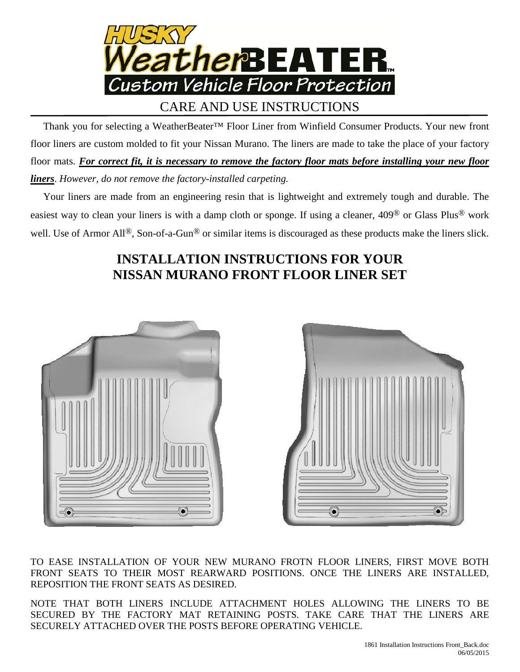

## CARE AND USE INSTRUCTIONS

 Thank you for selecting a WeatherBeater™ Floor Liner from Winfield Consumer Products. Your new front floor liners are custom molded to fit your Nissan Murano. The liners are made to take the place of your factory floor mats. *For correct fit, it is necessary to remove the factory floor mats before installing your new floor liners*. *However, do not remove the factory-installed carpeting.*

 Your liners are made from an engineering resin that is lightweight and extremely tough and durable. The easiest way to clean your liners is with a damp cloth or sponge. If using a cleaner, 409® or Glass Plus® work well. Use of Armor All<sup>®</sup>, Son-of-a-Gun<sup>®</sup> or similar items is discouraged as these products make the liners slick.

## **INSTALLATION INSTRUCTIONS FOR YOUR NISSAN MURANO FRONT FLOOR LINER SET**





TO EASE INSTALLATION OF YOUR NEW MURANO FROTN FLOOR LINERS, FIRST MOVE BOTH FRONT SEATS TO THEIR MOST REARWARD POSITIONS. ONCE THE LINERS ARE INSTALLED, REPOSITION THE FRONT SEATS AS DESIRED.

NOTE THAT BOTH LINERS INCLUDE ATTACHMENT HOLES ALLOWING THE LINERS TO BE SECURED BY THE FACTORY MAT RETAINING POSTS. TAKE CARE THAT THE LINERS ARE SECURELY ATTACHED OVER THE POSTS BEFORE OPERATING VEHICLE.